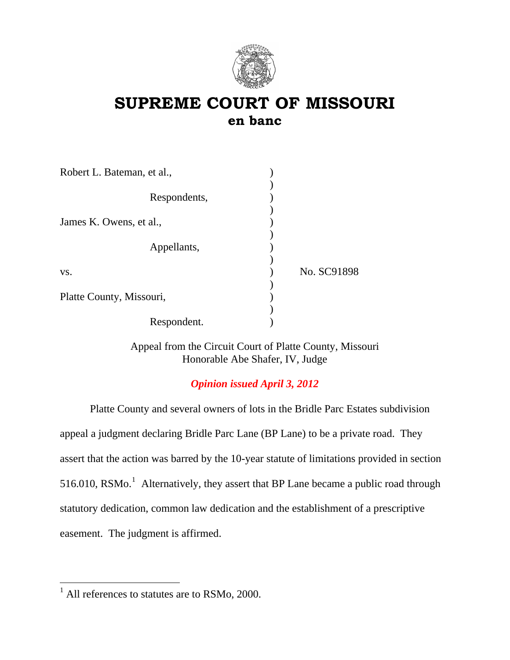

# **SUPREME COURT OF MISSOURI en banc**

| Robert L. Bateman, et al., |             |
|----------------------------|-------------|
| Respondents,               |             |
| James K. Owens, et al.,    |             |
| Appellants,                |             |
| VS.                        | No. SC91898 |
| Platte County, Missouri,   |             |
| Respondent.                |             |

Appeal from the Circuit Court of Platte County, Missouri Honorable Abe Shafer, IV, Judge

## *Opinion issued April 3, 2012*

Platte County and several owners of lots in the Bridle Parc Estates subdivision appeal a judgment declaring Bridle Parc Lane (BP Lane) to be a private road. They assert that the action was barred by the 10-year statute of limitations provided in section 5[1](#page-0-0)6.010, RSMo.<sup>1</sup> Alternatively, they assert that BP Lane became a public road through statutory dedication, common law dedication and the establishment of a prescriptive easement. The judgment is affirmed.

 $\overline{a}$ 

<span id="page-0-0"></span><sup>&</sup>lt;sup>1</sup> All references to statutes are to RSMo, 2000.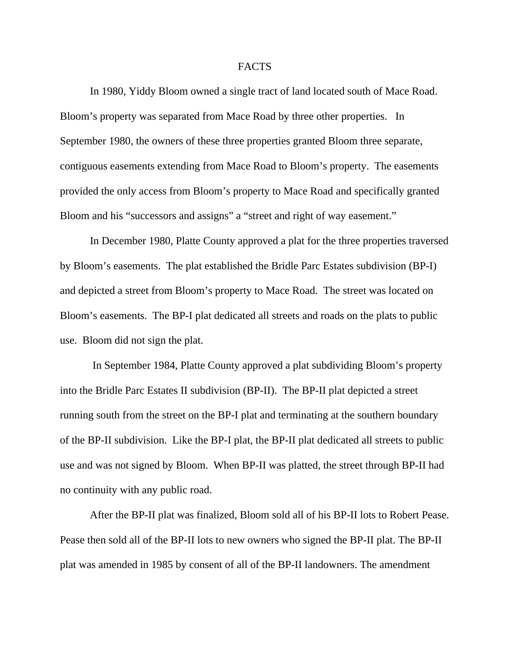#### FACTS

In 1980, Yiddy Bloom owned a single tract of land located south of Mace Road. Bloom's property was separated from Mace Road by three other properties. In September 1980, the owners of these three properties granted Bloom three separate, contiguous easements extending from Mace Road to Bloom's property. The easements provided the only access from Bloom's property to Mace Road and specifically granted Bloom and his "successors and assigns" a "street and right of way easement."

In December 1980, Platte County approved a plat for the three properties traversed by Bloom's easements. The plat established the Bridle Parc Estates subdivision (BP-I) and depicted a street from Bloom's property to Mace Road. The street was located on Bloom's easements. The BP-I plat dedicated all streets and roads on the plats to public use. Bloom did not sign the plat.

 In September 1984, Platte County approved a plat subdividing Bloom's property into the Bridle Parc Estates II subdivision (BP-II). The BP-II plat depicted a street running south from the street on the BP-I plat and terminating at the southern boundary of the BP-II subdivision. Like the BP-I plat, the BP-II plat dedicated all streets to public use and was not signed by Bloom. When BP-II was platted, the street through BP-II had no continuity with any public road.

After the BP-II plat was finalized, Bloom sold all of his BP-II lots to Robert Pease. Pease then sold all of the BP-II lots to new owners who signed the BP-II plat. The BP-II plat was amended in 1985 by consent of all of the BP-II landowners. The amendment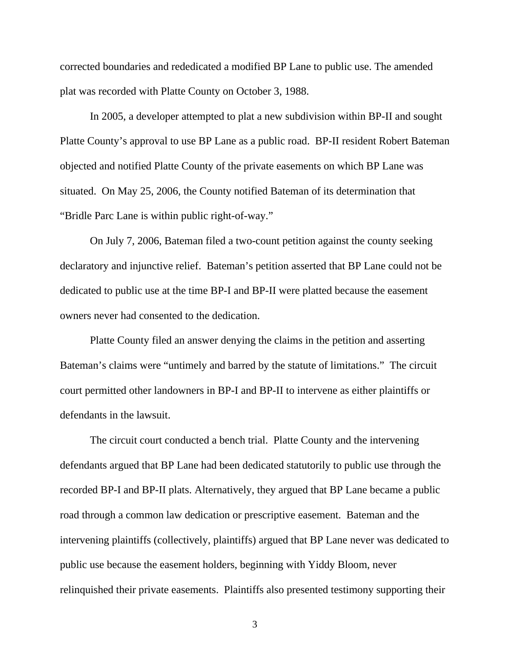corrected boundaries and rededicated a modified BP Lane to public use. The amended plat was recorded with Platte County on October 3, 1988.

In 2005, a developer attempted to plat a new subdivision within BP-II and sought Platte County's approval to use BP Lane as a public road. BP-II resident Robert Bateman objected and notified Platte County of the private easements on which BP Lane was situated. On May 25, 2006, the County notified Bateman of its determination that "Bridle Parc Lane is within public right-of-way."

On July 7, 2006, Bateman filed a two-count petition against the county seeking declaratory and injunctive relief. Bateman's petition asserted that BP Lane could not be dedicated to public use at the time BP-I and BP-II were platted because the easement owners never had consented to the dedication.

 Platte County filed an answer denying the claims in the petition and asserting Bateman's claims were "untimely and barred by the statute of limitations." The circuit court permitted other landowners in BP-I and BP-II to intervene as either plaintiffs or defendants in the lawsuit.

The circuit court conducted a bench trial. Platte County and the intervening defendants argued that BP Lane had been dedicated statutorily to public use through the recorded BP-I and BP-II plats. Alternatively, they argued that BP Lane became a public road through a common law dedication or prescriptive easement. Bateman and the intervening plaintiffs (collectively, plaintiffs) argued that BP Lane never was dedicated to public use because the easement holders, beginning with Yiddy Bloom, never relinquished their private easements. Plaintiffs also presented testimony supporting their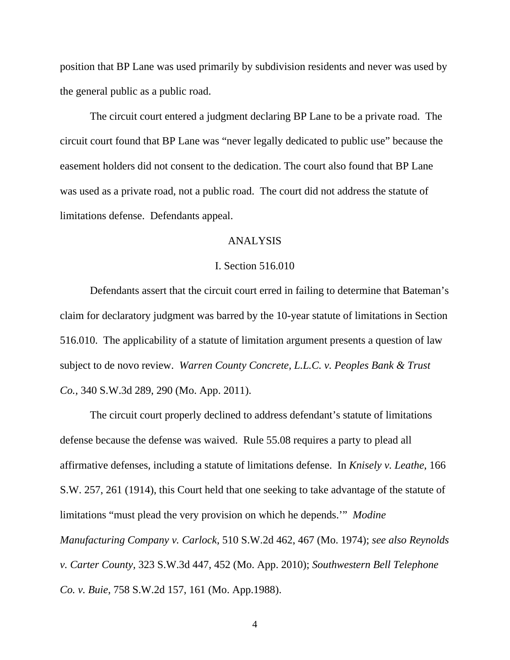position that BP Lane was used primarily by subdivision residents and never was used by the general public as a public road.

The circuit court entered a judgment declaring BP Lane to be a private road. The circuit court found that BP Lane was "never legally dedicated to public use" because the easement holders did not consent to the dedication. The court also found that BP Lane was used as a private road, not a public road. The court did not address the statute of limitations defense. Defendants appeal.

#### ANALYSIS

#### I. Section 516.010

Defendants assert that the circuit court erred in failing to determine that Bateman's claim for declaratory judgment was barred by the 10-year statute of limitations in Section 516.010. The applicability of a statute of limitation argument presents a question of law subject to de novo review. *Warren County Concrete, L.L.C. v. Peoples Bank & Trust Co.,* 340 S.W.3d 289, 290 (Mo. App. 2011).

The circuit court properly declined to address defendant's statute of limitations defense because the defense was waived. Rule 55.08 requires a party to plead all affirmative defenses, including a statute of limitations defense. In *Knisely v. Leathe*, 166 S.W. 257, 261 (1914), this Court held that one seeking to take advantage of the statute of limitations "must plead the very provision on which he depends.'" *Modine Manufacturing Company v. Carlock*, 510 S.W.2d 462, 467 (Mo. 1974); *see also Reynolds v. Carter County,* 323 S.W.3d 447, 452 (Mo. App. 2010); *Southwestern Bell Telephone Co. v. Buie*, 758 S.W.2d 157, 161 (Mo. App.1988).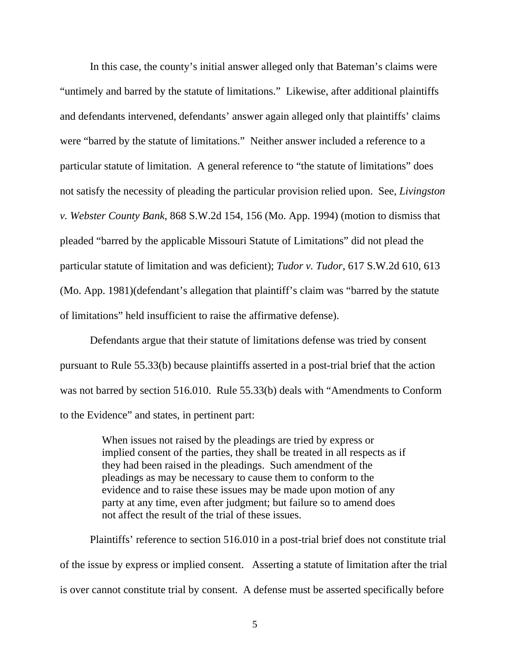In this case, the county's initial answer alleged only that Bateman's claims were "untimely and barred by the statute of limitations." Likewise, after additional plaintiffs and defendants intervened, defendants' answer again alleged only that plaintiffs' claims were "barred by the statute of limitations." Neither answer included a reference to a particular statute of limitation. A general reference to "the statute of limitations" does not satisfy the necessity of pleading the particular provision relied upon. See, *Livingston v. Webster County Bank*, 868 S.W.2d 154, 156 (Mo. App. 1994) (motion to dismiss that pleaded "barred by the applicable Missouri Statute of Limitations" did not plead the particular statute of limitation and was deficient); *Tudor v. Tudor*, 617 S.W.2d 610, 613 (Mo. App. 1981)(defendant's allegation that plaintiff's claim was "barred by the statute of limitations" held insufficient to raise the affirmative defense).

Defendants argue that their statute of limitations defense was tried by consent pursuant to Rule 55.33(b) because plaintiffs asserted in a post-trial brief that the action was not barred by section 516.010. Rule 55.33(b) deals with "Amendments to Conform to the Evidence" and states, in pertinent part:

> When issues not raised by the pleadings are tried by express or implied consent of the parties, they shall be treated in all respects as if they had been raised in the pleadings. Such amendment of the pleadings as may be necessary to cause them to conform to the evidence and to raise these issues may be made upon motion of any party at any time, even after judgment; but failure so to amend does not affect the result of the trial of these issues.

Plaintiffs' reference to section 516.010 in a post-trial brief does not constitute trial of the issue by express or implied consent. Asserting a statute of limitation after the trial is over cannot constitute trial by consent. A defense must be asserted specifically before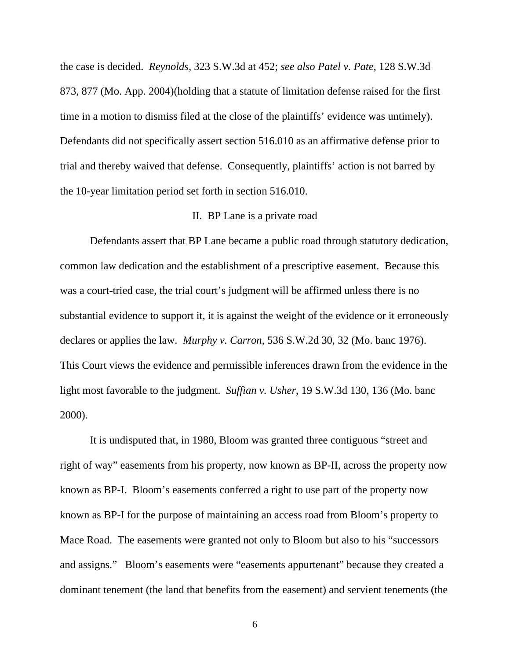the case is decided. *Reynolds,* 323 S.W.3d at 452; *see also Patel v. Pate*, 128 S.W.3d 873, 877 (Mo. App. 2004)(holding that a statute of limitation defense raised for the first time in a motion to dismiss filed at the close of the plaintiffs' evidence was untimely). Defendants did not specifically assert section 516.010 as an affirmative defense prior to trial and thereby waived that defense. Consequently, plaintiffs' action is not barred by the 10-year limitation period set forth in section 516.010.

#### II. BP Lane is a private road

Defendants assert that BP Lane became a public road through statutory dedication, common law dedication and the establishment of a prescriptive easement. Because this was a court-tried case, the trial court's judgment will be affirmed unless there is no substantial evidence to support it, it is against the weight of the evidence or it erroneously declares or applies the law. *Murphy v. Carron*, 536 S.W.2d 30, 32 (Mo. banc 1976). This Court views the evidence and permissible inferences drawn from the evidence in the light most favorable to the judgment. *Suffian v. Usher*, 19 S.W.3d 130, 136 (Mo. banc 2000).

It is undisputed that, in 1980, Bloom was granted three contiguous "street and right of way" easements from his property, now known as BP-II, across the property now known as BP-I. Bloom's easements conferred a right to use part of the property now known as BP-I for the purpose of maintaining an access road from Bloom's property to Mace Road. The easements were granted not only to Bloom but also to his "successors and assigns." Bloom's easements were "easements appurtenant" because they created a dominant tenement (the land that benefits from the easement) and servient tenements (the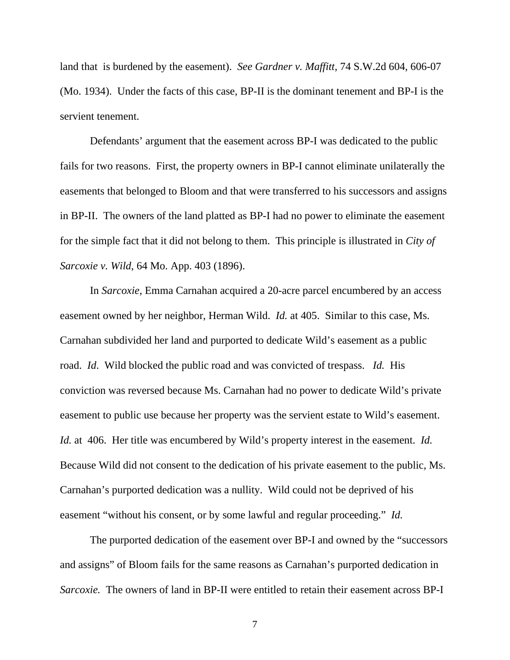land that is burdened by the easement). *See Gardner v. Maffitt*, 74 S.W.2d 604, 606-07 (Mo. 1934). Under the facts of this case, BP-II is the dominant tenement and BP-I is the servient tenement.

Defendants' argument that the easement across BP-I was dedicated to the public fails for two reasons. First, the property owners in BP-I cannot eliminate unilaterally the easements that belonged to Bloom and that were transferred to his successors and assigns in BP-II. The owners of the land platted as BP-I had no power to eliminate the easement for the simple fact that it did not belong to them. This principle is illustrated in *City of Sarcoxie v. Wild*, 64 Mo. App. 403 (1896).

In *Sarcoxie*, Emma Carnahan acquired a 20-acre parcel encumbered by an access easement owned by her neighbor, Herman Wild. *Id.* at 405. Similar to this case, Ms. Carnahan subdivided her land and purported to dedicate Wild's easement as a public road. *Id*. Wild blocked the public road and was convicted of trespass. *Id.* His conviction was reversed because Ms. Carnahan had no power to dedicate Wild's private easement to public use because her property was the servient estate to Wild's easement. *Id.* at 406. Her title was encumbered by Wild's property interest in the easement. *Id.*  Because Wild did not consent to the dedication of his private easement to the public, Ms. Carnahan's purported dedication was a nullity. Wild could not be deprived of his easement "without his consent, or by some lawful and regular proceeding." *Id.* 

 The purported dedication of the easement over BP-I and owned by the "successors and assigns" of Bloom fails for the same reasons as Carnahan's purported dedication in *Sarcoxie.* The owners of land in BP-II were entitled to retain their easement across BP-I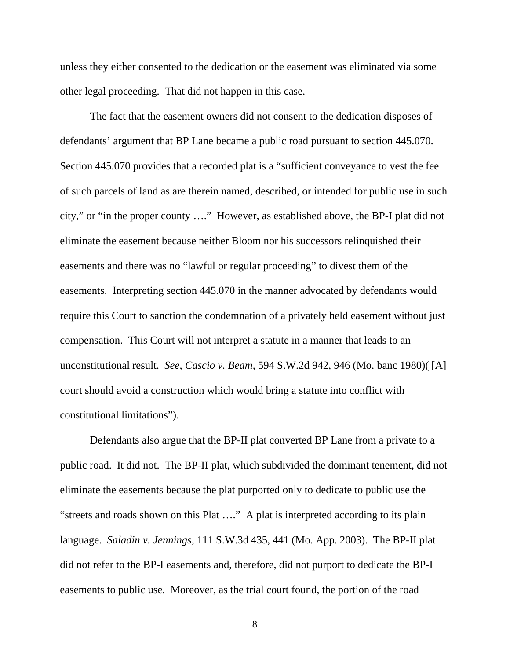unless they either consented to the dedication or the easement was eliminated via some other legal proceeding. That did not happen in this case.

The fact that the easement owners did not consent to the dedication disposes of defendants' argument that BP Lane became a public road pursuant to section 445.070. Section 445.070 provides that a recorded plat is a "sufficient conveyance to vest the fee of such parcels of land as are therein named, described, or intended for public use in such city," or "in the proper county …." However, as established above, the BP-I plat did not eliminate the easement because neither Bloom nor his successors relinquished their easements and there was no "lawful or regular proceeding" to divest them of the easements. Interpreting section 445.070 in the manner advocated by defendants would require this Court to sanction the condemnation of a privately held easement without just compensation. This Court will not interpret a statute in a manner that leads to an unconstitutional result. *See*, *Cascio v. Beam*, 594 S.W.2d 942, 946 (Mo. banc 1980)( [A] court should avoid a construction which would bring a statute into conflict with constitutional limitations").

Defendants also argue that the BP-II plat converted BP Lane from a private to a public road. It did not. The BP-II plat, which subdivided the dominant tenement, did not eliminate the easements because the plat purported only to dedicate to public use the "streets and roads shown on this Plat …." A plat is interpreted according to its plain language. *Saladin v. Jennings,* 111 S.W.3d 435, 441 (Mo. App. 2003). The BP-II plat did not refer to the BP-I easements and, therefore, did not purport to dedicate the BP-I easements to public use. Moreover, as the trial court found, the portion of the road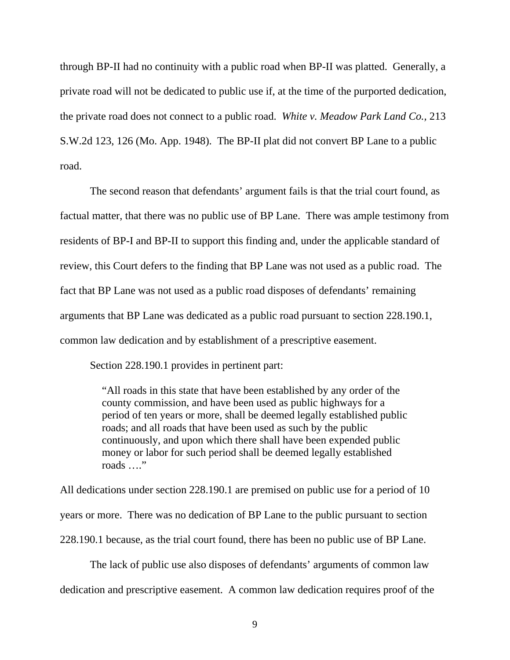through BP-II had no continuity with a public road when BP-II was platted. Generally, a private road will not be dedicated to public use if, at the time of the purported dedication, the private road does not connect to a public road. *White v. Meadow Park Land Co.,* 213 S.W.2d 123, 126 (Mo. App. 1948). The BP-II plat did not convert BP Lane to a public road.

The second reason that defendants' argument fails is that the trial court found, as factual matter, that there was no public use of BP Lane. There was ample testimony from residents of BP-I and BP-II to support this finding and, under the applicable standard of review, this Court defers to the finding that BP Lane was not used as a public road. The fact that BP Lane was not used as a public road disposes of defendants' remaining arguments that BP Lane was dedicated as a public road pursuant to section 228.190.1, common law dedication and by establishment of a prescriptive easement.

Section 228.190.1 provides in pertinent part:

"All roads in this state that have been established by any order of the county commission, and have been used as public highways for a period of ten years or more, shall be deemed legally established public roads; and all roads that have been used as such by the public continuously, and upon which there shall have been expended public money or labor for such period shall be deemed legally established roads …."

All dedications under section 228.190.1 are premised on public use for a period of 10 years or more. There was no dedication of BP Lane to the public pursuant to section 228.190.1 because, as the trial court found, there has been no public use of BP Lane.

The lack of public use also disposes of defendants' arguments of common law dedication and prescriptive easement. A common law dedication requires proof of the